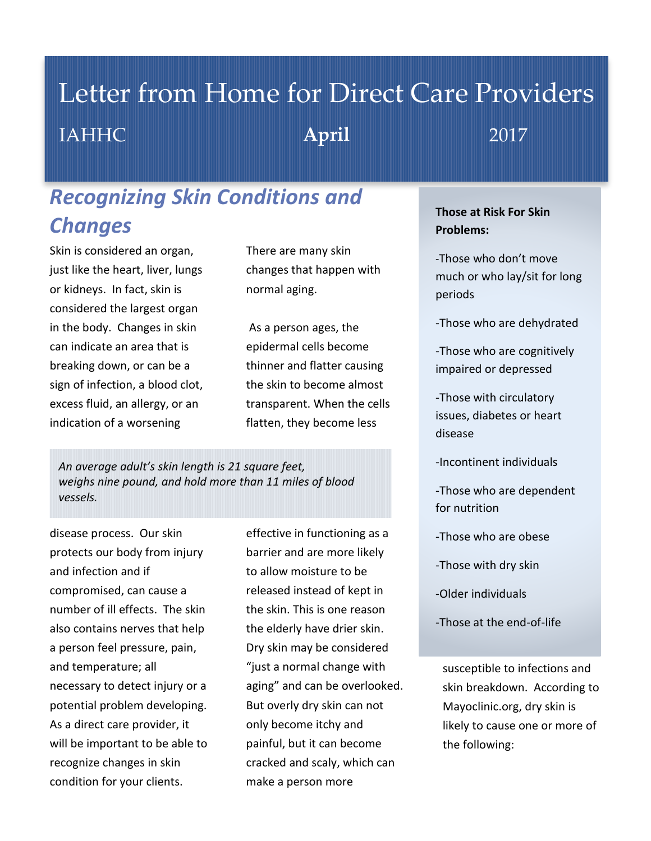# Letter from Home for Direct Care Providers IAHHC **April** 2017

# *Recognizing Skin Conditions and Changes*

Skin is considered an organ, just like the heart, liver, lungs or kidneys. In fact, skin is considered the largest organ in the body. Changes in skin can indicate an area that is breaking down, or can be a sign of infection, a blood clot, excess fluid, an allergy, or an indication of a worsening

There are many skin changes that happen with normal aging.

As a person ages, the epidermal cells become thinner and flatter causing the skin to become almost transparent. When the cells flatten, they become less

*An average adult's skin length is 21 square feet, weighs nine pound, and hold more than 11 miles of blood vessels.*

disease process. Our skin protects our body from injury and infection and if compromised, can cause a number of ill effects. The skin also contains nerves that help a person feel pressure, pain, and temperature; all necessary to detect injury or a potential problem developing. As a direct care provider, it will be important to be able to recognize changes in skin condition for your clients.

effective in functioning as a barrier and are more likely to allow moisture to be released instead of kept in the skin. This is one reason the elderly have drier skin. Dry skin may be considered "just a normal change with aging" and can be overlooked. But overly dry skin can not only become itchy and painful, but it can become cracked and scaly, which can make a person more

## **Those at Risk For Skin Problems:**

-Those who don't move much or who lay/sit for long periods

-Those who are dehydrated

-Those who are cognitively impaired or depressed

-Those with circulatory issues, diabetes or heart disease

-Incontinent individuals

-Those who are dependent for nutrition

-Those who are obese

-Those with dry skin

-Older individuals

-Those at the end-of-life

susceptible to infections and skin breakdown. According to Mayoclinic.org, dry skin is likely to cause one or more of the following: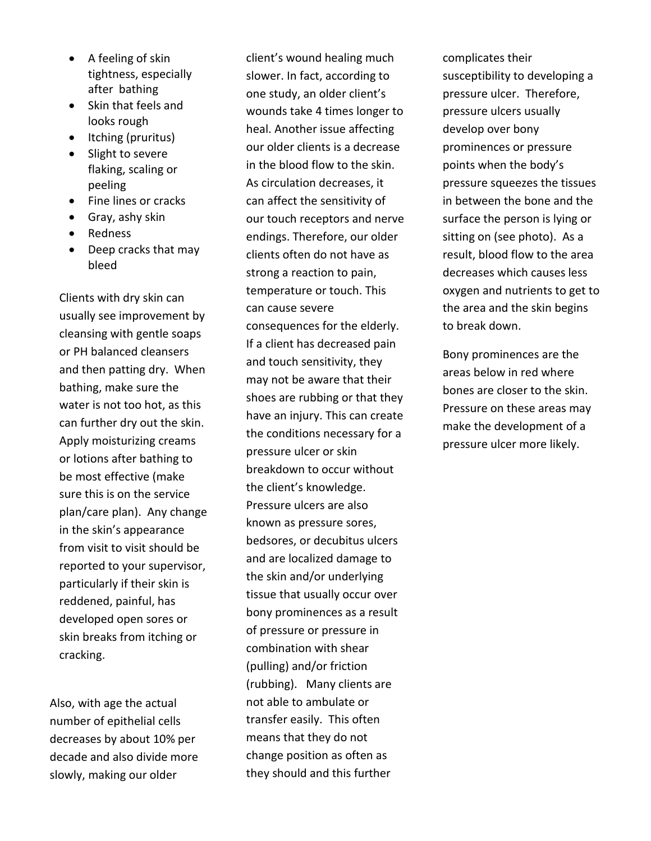- A feeling of skin tightness, especially after bathing
- Skin that feels and looks rough
- Itching (pruritus)
- Slight to severe flaking, scaling or peeling
- Fine lines or cracks
- $\bullet$  Gray, ashy skin
- Redness
- Deep cracks that may bleed

Clients with dry skin can usually see improvement by cleansing with gentle soaps or PH balanced cleansers and then patting dry. When bathing, make sure the water is not too hot, as this can further dry out the skin. Apply moisturizing creams or lotions after bathing to be most effective (make sure this is on the service plan/care plan). Any change in the skin's appearance from visit to visit should be reported to your supervisor, particularly if their skin is reddened, painful, has developed open sores or skin breaks from itching or cracking.

Also, with age the actual number of epithelial cells decreases by about 10% per decade and also divide more slowly, making our older

client's wound healing much slower. In fact, according to one study, an older client's wounds take 4 times longer to heal. Another issue affecting our older clients is a decrease in the blood flow to the skin. As circulation decreases, it can affect the sensitivity of our touch receptors and nerve endings. Therefore, our older clients often do not have as strong a reaction to pain, temperature or touch. This can cause severe consequences for the elderly. If a client has decreased pain and touch sensitivity, they may not be aware that their shoes are rubbing or that they have an injury. This can create the conditions necessary for a pressure ulcer or skin breakdown to occur without the client's knowledge. Pressure ulcers are also known as pressure sores, bedsores, or decubitus ulcers and are localized damage to the skin and/or underlying tissue that usually occur over bony prominences as a result of pressure or pressure in combination with shear (pulling) and/or friction (rubbing). Many clients are not able to ambulate or transfer easily. This often means that they do not change position as often as they should and this further

complicates their susceptibility to developing a pressure ulcer. Therefore, pressure ulcers usually develop over bony prominences or pressure points when the body's pressure squeezes the tissues in between the bone and the surface the person is lying or sitting on (see photo). As a result, blood flow to the area decreases which causes less oxygen and nutrients to get to the area and the skin begins to break down.

Bony prominences are the areas below in red where bones are closer to the skin. Pressure on these areas may make the development of a pressure ulcer more likely.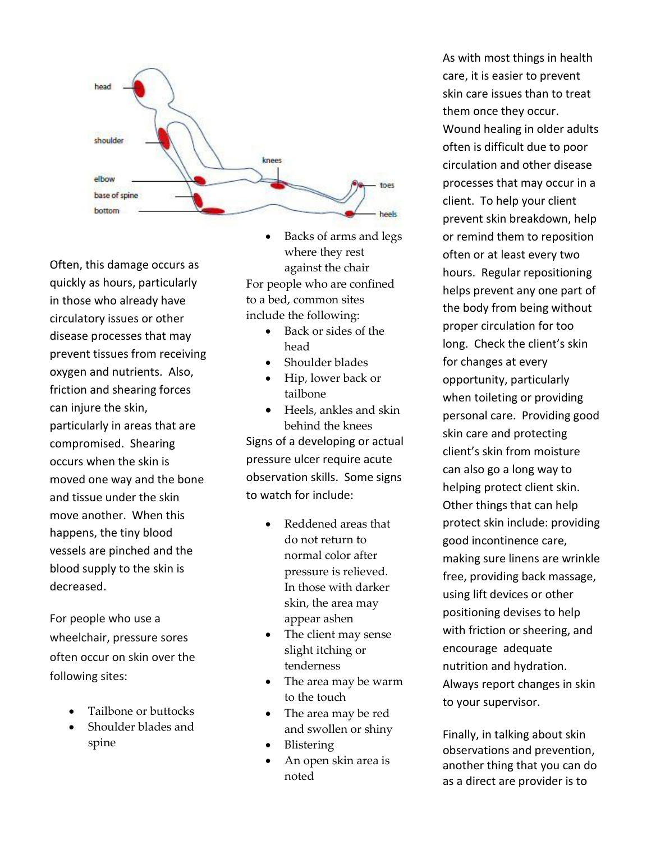

Often, this damage occurs as quickly as hours, particularly in those who already have circulatory issues or other disease processes that may prevent tissues from receiving oxygen and nutrients. Also, friction and shearing forces can injure the skin, particularly in areas that are compromised. Shearing occurs when the skin is moved one way and the bone and tissue under the skin move another. When this happens, the tiny blood vessels are pinched and the blood supply to the skin is decreased.

For people who use a wheelchair, pressure sores often occur on skin over the following sites:

- Tailbone or buttocks
- Shoulder blades and spine

 Backs of arms and legs where they rest against the chair For people who are confined to a bed, common sites include the following:

- Back or sides of the head
- Shoulder blades
- Hip, lower back or tailbone
- Heels, ankles and skin behind the knees Signs of a developing or actual pressure ulcer require acute observation skills. Some signs to watch for include:
	- Reddened areas that do not return to normal color after pressure is relieved. In those with darker skin, the area may appear ashen
	- The client may sense slight itching or tenderness
	- The area may be warm to the touch
	- The area may be red and swollen or shiny
	- Blistering
	- An open skin area is noted

As with most things in health care, it is easier to prevent skin care issues than to treat them once they occur. Wound healing in older adults often is difficult due to poor circulation and other disease processes that may occur in a client. To help your client prevent skin breakdown, help or remind them to reposition often or at least every two hours. Regular repositioning helps prevent any one part of the body from being without proper circulation for too long. Check the client's skin for changes at every opportunity, particularly when toileting or providing personal care. Providing good skin care and protecting client's skin from moisture can also go a long way to helping protect client skin. Other things that can help protect skin include: providing good incontinence care, making sure linens are wrinkle free, providing back massage, using lift devices or other positioning devises to help with friction or sheering, and encourage adequate nutrition and hydration. Always report changes in skin to your supervisor.

Finally, in talking about skin observations and prevention, another thing that you can do as a direct are provider is to